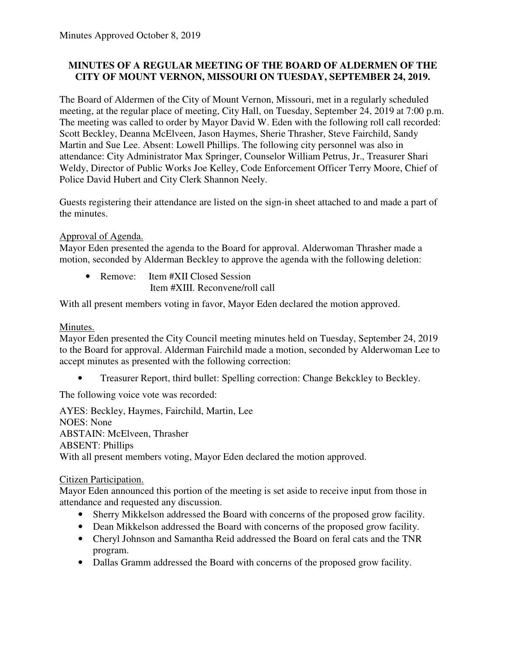# **MINUTES OF A REGULAR MEETING OF THE BOARD OF ALDERMEN OF THE CITY OF MOUNT VERNON, MISSOURI ON TUESDAY, SEPTEMBER 24, 2019.**

The Board of Aldermen of the City of Mount Vernon, Missouri, met in a regularly scheduled meeting, at the regular place of meeting, City Hall, on Tuesday, September 24, 2019 at 7:00 p.m. The meeting was called to order by Mayor David W. Eden with the following roll call recorded: Scott Beckley, Deanna McElveen, Jason Haymes, Sherie Thrasher, Steve Fairchild, Sandy Martin and Sue Lee. Absent: Lowell Phillips. The following city personnel was also in attendance: City Administrator Max Springer, Counselor William Petrus, Jr., Treasurer Shari Weldy, Director of Public Works Joe Kelley, Code Enforcement Officer Terry Moore, Chief of Police David Hubert and City Clerk Shannon Neely.

Guests registering their attendance are listed on the sign-in sheet attached to and made a part of the minutes.

# Approval of Agenda.

Mayor Eden presented the agenda to the Board for approval. Alderwoman Thrasher made a motion, seconded by Alderman Beckley to approve the agenda with the following deletion:

• Remove: Item #XII Closed Session Item #XIII. Reconvene/roll call

With all present members voting in favor, Mayor Eden declared the motion approved.

# Minutes.

Mayor Eden presented the City Council meeting minutes held on Tuesday, September 24, 2019 to the Board for approval. Alderman Fairchild made a motion, seconded by Alderwoman Lee to accept minutes as presented with the following correction:

• Treasurer Report, third bullet: Spelling correction: Change Bekckley to Beckley.

The following voice vote was recorded:

AYES: Beckley, Haymes, Fairchild, Martin, Lee NOES: None ABSTAIN: McElveen, Thrasher ABSENT: Phillips With all present members voting, Mayor Eden declared the motion approved.

### Citizen Participation.

Mayor Eden announced this portion of the meeting is set aside to receive input from those in attendance and requested any discussion.

- Sherry Mikkelson addressed the Board with concerns of the proposed grow facility.
- Dean Mikkelson addressed the Board with concerns of the proposed grow facility.
- Cheryl Johnson and Samantha Reid addressed the Board on feral cats and the TNR program.
- Dallas Gramm addressed the Board with concerns of the proposed grow facility.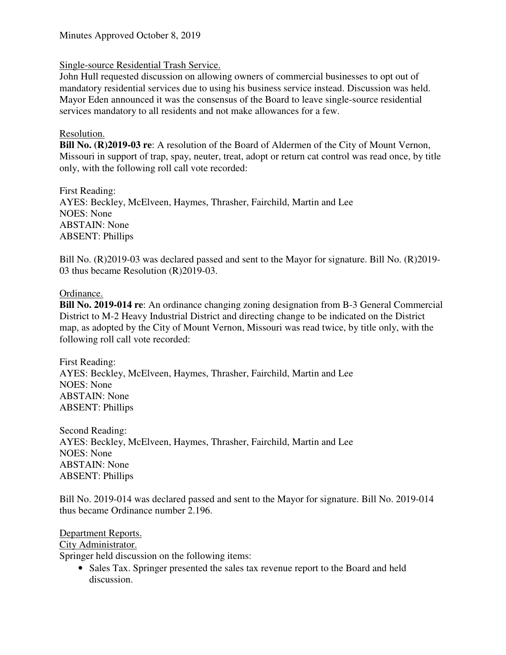### Single-source Residential Trash Service.

John Hull requested discussion on allowing owners of commercial businesses to opt out of mandatory residential services due to using his business service instead. Discussion was held. Mayor Eden announced it was the consensus of the Board to leave single-source residential services mandatory to all residents and not make allowances for a few.

#### Resolution.

**Bill No. (R)2019-03 re**: A resolution of the Board of Aldermen of the City of Mount Vernon, Missouri in support of trap, spay, neuter, treat, adopt or return cat control was read once, by title only, with the following roll call vote recorded:

First Reading: AYES: Beckley, McElveen, Haymes, Thrasher, Fairchild, Martin and Lee NOES: None ABSTAIN: None ABSENT: Phillips

Bill No. (R)2019-03 was declared passed and sent to the Mayor for signature. Bill No. (R)2019-03 thus became Resolution (R)2019-03.

#### Ordinance.

**Bill No. 2019-014 re**: An ordinance changing zoning designation from B-3 General Commercial District to M-2 Heavy Industrial District and directing change to be indicated on the District map, as adopted by the City of Mount Vernon, Missouri was read twice, by title only, with the following roll call vote recorded:

First Reading: AYES: Beckley, McElveen, Haymes, Thrasher, Fairchild, Martin and Lee NOES: None ABSTAIN: None ABSENT: Phillips

Second Reading: AYES: Beckley, McElveen, Haymes, Thrasher, Fairchild, Martin and Lee NOES: None ABSTAIN: None ABSENT: Phillips

Bill No. 2019-014 was declared passed and sent to the Mayor for signature. Bill No. 2019-014 thus became Ordinance number 2.196.

### Department Reports.

City Administrator.

Springer held discussion on the following items:

• Sales Tax. Springer presented the sales tax revenue report to the Board and held discussion.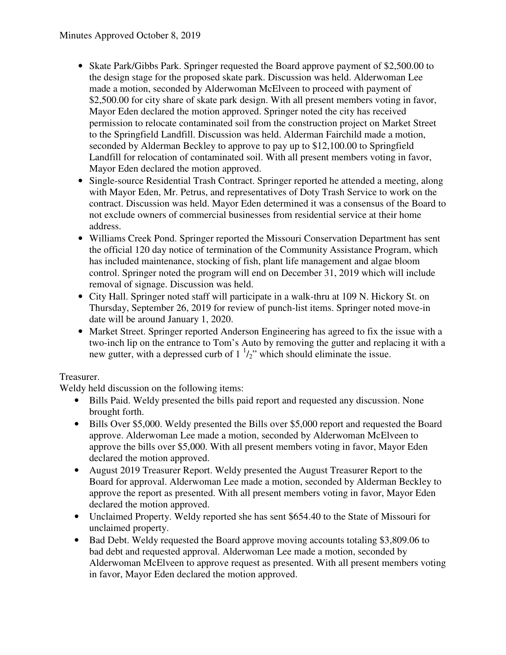- Skate Park/Gibbs Park. Springer requested the Board approve payment of \$2,500.00 to the design stage for the proposed skate park. Discussion was held. Alderwoman Lee made a motion, seconded by Alderwoman McElveen to proceed with payment of \$2,500.00 for city share of skate park design. With all present members voting in favor, Mayor Eden declared the motion approved. Springer noted the city has received permission to relocate contaminated soil from the construction project on Market Street to the Springfield Landfill. Discussion was held. Alderman Fairchild made a motion, seconded by Alderman Beckley to approve to pay up to \$12,100.00 to Springfield Landfill for relocation of contaminated soil. With all present members voting in favor, Mayor Eden declared the motion approved.
- Single-source Residential Trash Contract. Springer reported he attended a meeting, along with Mayor Eden, Mr. Petrus, and representatives of Doty Trash Service to work on the contract. Discussion was held. Mayor Eden determined it was a consensus of the Board to not exclude owners of commercial businesses from residential service at their home address.
- Williams Creek Pond. Springer reported the Missouri Conservation Department has sent the official 120 day notice of termination of the Community Assistance Program, which has included maintenance, stocking of fish, plant life management and algae bloom control. Springer noted the program will end on December 31, 2019 which will include removal of signage. Discussion was held.
- City Hall. Springer noted staff will participate in a walk-thru at 109 N. Hickory St. on Thursday, September 26, 2019 for review of punch-list items. Springer noted move-in date will be around January 1, 2020.
- Market Street. Springer reported Anderson Engineering has agreed to fix the issue with a two-inch lip on the entrance to Tom's Auto by removing the gutter and replacing it with a new gutter, with a depressed curb of  $1 \frac{1}{2}$ " which should eliminate the issue.

### Treasurer.

Weldy held discussion on the following items:

- Bills Paid. Weldy presented the bills paid report and requested any discussion. None brought forth.
- Bills Over \$5,000. Weldy presented the Bills over \$5,000 report and requested the Board approve. Alderwoman Lee made a motion, seconded by Alderwoman McElveen to approve the bills over \$5,000. With all present members voting in favor, Mayor Eden declared the motion approved.
- August 2019 Treasurer Report. Weldy presented the August Treasurer Report to the Board for approval. Alderwoman Lee made a motion, seconded by Alderman Beckley to approve the report as presented. With all present members voting in favor, Mayor Eden declared the motion approved.
- Unclaimed Property. Weldy reported she has sent \$654.40 to the State of Missouri for unclaimed property.
- Bad Debt. Weldy requested the Board approve moving accounts totaling \$3,809.06 to bad debt and requested approval. Alderwoman Lee made a motion, seconded by Alderwoman McElveen to approve request as presented. With all present members voting in favor, Mayor Eden declared the motion approved.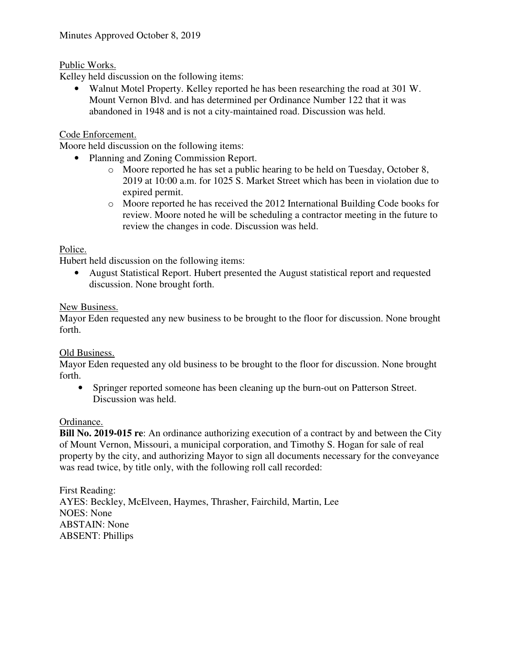### Public Works.

Kelley held discussion on the following items:

• Walnut Motel Property. Kelley reported he has been researching the road at 301 W. Mount Vernon Blvd. and has determined per Ordinance Number 122 that it was abandoned in 1948 and is not a city-maintained road. Discussion was held.

### Code Enforcement.

Moore held discussion on the following items:

- Planning and Zoning Commission Report.
	- $\circ$  Moore reported he has set a public hearing to be held on Tuesday, October 8, 2019 at 10:00 a.m. for 1025 S. Market Street which has been in violation due to expired permit.
	- o Moore reported he has received the 2012 International Building Code books for review. Moore noted he will be scheduling a contractor meeting in the future to review the changes in code. Discussion was held.

### Police.

Hubert held discussion on the following items:

• August Statistical Report. Hubert presented the August statistical report and requested discussion. None brought forth.

### New Business.

Mayor Eden requested any new business to be brought to the floor for discussion. None brought forth.

### Old Business.

Mayor Eden requested any old business to be brought to the floor for discussion. None brought forth.

• Springer reported someone has been cleaning up the burn-out on Patterson Street. Discussion was held.

### Ordinance.

**Bill No. 2019-015 re**: An ordinance authorizing execution of a contract by and between the City of Mount Vernon, Missouri, a municipal corporation, and Timothy S. Hogan for sale of real property by the city, and authorizing Mayor to sign all documents necessary for the conveyance was read twice, by title only, with the following roll call recorded:

First Reading: AYES: Beckley, McElveen, Haymes, Thrasher, Fairchild, Martin, Lee NOES: None ABSTAIN: None ABSENT: Phillips